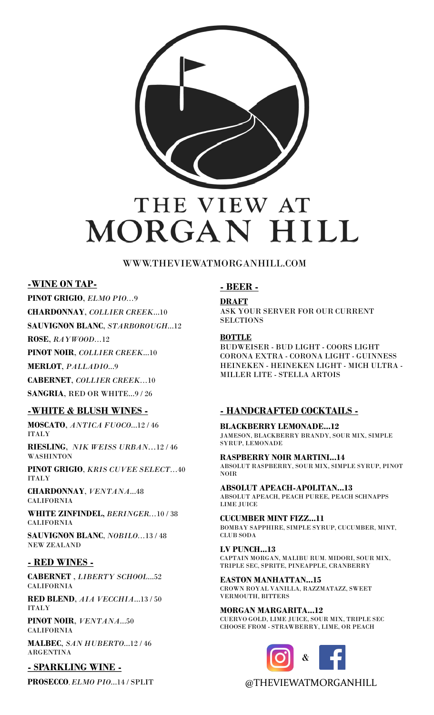

## WWW.THEVIEWATMORGANHILL.COM

## **-WINE ON TAP-**

**PINOT GRIGIO**, *ELMO PIO...*9

**CHARDONNAY**, *COLLIER CREEK*...10

**SAUVIGNON BLANC**, *STARBOROUGH*...12

**ROSE**, *RAYWOOD...*12

**PINOT NOIR**, *COLLIER CREEK*...10

**MERLOT**, *PALLADIO*...9

**CABERNET**, *COLLIER CREEK...*10

**SANGRIA**, RED OR WHITE...9 / 26

#### **-WHITE & BLUSH WINES -**

**MOSCATO**, *ANTICA FUOCO*...12 / 46 ITALY

**RIESLING**, *NIK WEISS URBAN...*12 / 46 WASHINTON

**PINOT GRIGIO**, *KRIS CUVEE SELECT...*40 ITALY

**CHARDONNAY**, *VENTANA*...48 CALIFORNIA

**WHITE ZINFINDEL,** *BERINGER...*10 / 38 CALIFORNIA

**SAUVIGNON BLANC**, *NOBILO...*13 / 48 NEW ZEALAND

#### **- RED WINES -**

**CABERNET** , *LIBERTY SCHOOL*...52 CALIFORNIA

**RED BLEND**, *AIA VECCHIA*...13 / 50 ITALY

**PINOT NOIR**, *VENTANA*...50 CALIFORNIA

**MALBEC**, *SAN HUBERTO*...12 / 46 ARGENTINA

**- SPARKLING WINE -**

**PROSECCO**, *ELMO PIO*...14 / SPLIT

# **- BEER -**

#### **DRAFT**

ASK YOUR SERVER FOR OUR CURRENT **SELCTIONS** 

#### **BOTTLE**

BUDWEISER - BUD LIGHT - COORS LIGHT CORONA EXTRA - CORONA LIGHT - GUINNESS HEINEKEN - HEINEKEN LIGHT - MICH ULTRA - MILLER LITE - STELLA ARTOIS

## **- HANDCRAFTED COCKTAILS -**

**BLACKBERRY LEMONADE...12** JAMESON, BLACKBERRY BRANDY, SOUR MIX, SIMPLE SYRUP, LEMONADE

**RASPBERRY NOIR MARTINI...14** ABSOLUT RASPBERRY, SOUR MIX, SIMPLE SYRUP, PINOT NOIR

**ABSOLUT APEACH-APOLITAN...13** ABSOLUT APEACH, PEACH PUREE, PEACH SCHNAPPS LIME JUICE

**CUCUMBER MINT FIZZ...11** BOMBAY SAPPHIRE, SIMPLE SYRUP, CUCUMBER, MINT, CLUB SODA

**LV PUNCH...13** CAPTAIN MORGAN, MALIBU RUM. MIDORI, SOUR MIX, TRIPLE SEC, SPRITE, PINEAPPLE, CRANBERRY

**EASTON MANHATTAN...15** CROWN ROYAL VANILLA, RAZZMATAZZ, SWEET VERMOUTH, BITTERS

**MORGAN MARGARITA...12** CUERVO GOLD, LIME JUICE, SOUR MIX, TRIPLE SEC CHOOSE FROM - STRAWBERRY, LIME, OR PEACH